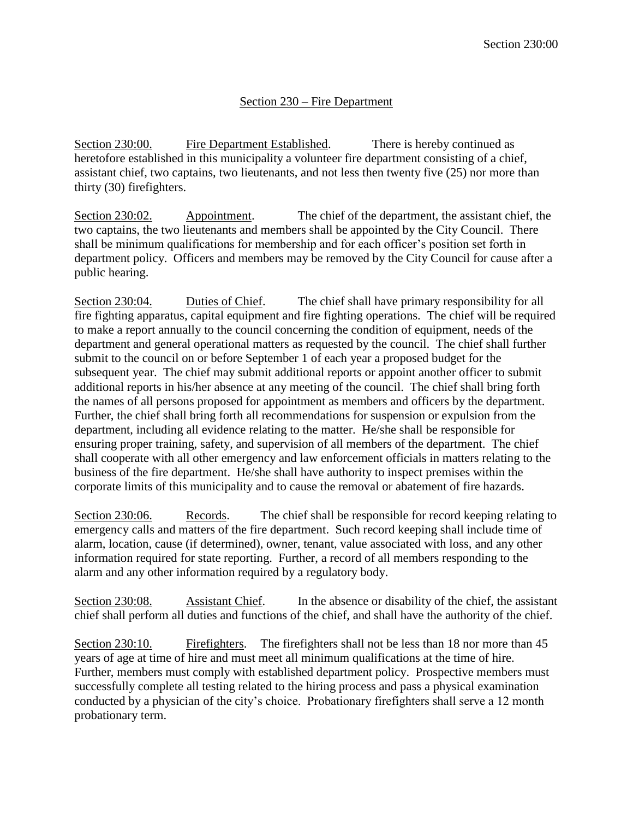## Section 230 – Fire Department

Section 230:00. Fire Department Established. There is hereby continued as heretofore established in this municipality a volunteer fire department consisting of a chief, assistant chief, two captains, two lieutenants, and not less then twenty five (25) nor more than thirty (30) firefighters.

Section 230:02. Appointment. The chief of the department, the assistant chief, the two captains, the two lieutenants and members shall be appointed by the City Council. There shall be minimum qualifications for membership and for each officer's position set forth in department policy. Officers and members may be removed by the City Council for cause after a public hearing.

Section 230:04. Duties of Chief. The chief shall have primary responsibility for all fire fighting apparatus, capital equipment and fire fighting operations. The chief will be required to make a report annually to the council concerning the condition of equipment, needs of the department and general operational matters as requested by the council. The chief shall further submit to the council on or before September 1 of each year a proposed budget for the subsequent year. The chief may submit additional reports or appoint another officer to submit additional reports in his/her absence at any meeting of the council. The chief shall bring forth the names of all persons proposed for appointment as members and officers by the department. Further, the chief shall bring forth all recommendations for suspension or expulsion from the department, including all evidence relating to the matter. He/she shall be responsible for ensuring proper training, safety, and supervision of all members of the department. The chief shall cooperate with all other emergency and law enforcement officials in matters relating to the business of the fire department. He/she shall have authority to inspect premises within the corporate limits of this municipality and to cause the removal or abatement of fire hazards.

Section 230:06. Records. The chief shall be responsible for record keeping relating to emergency calls and matters of the fire department. Such record keeping shall include time of alarm, location, cause (if determined), owner, tenant, value associated with loss, and any other information required for state reporting. Further, a record of all members responding to the alarm and any other information required by a regulatory body.

Section 230:08. Assistant Chief. In the absence or disability of the chief, the assistant chief shall perform all duties and functions of the chief, and shall have the authority of the chief.

Section 230:10. Firefighters. The firefighters shall not be less than 18 nor more than 45 years of age at time of hire and must meet all minimum qualifications at the time of hire. Further, members must comply with established department policy. Prospective members must successfully complete all testing related to the hiring process and pass a physical examination conducted by a physician of the city's choice. Probationary firefighters shall serve a 12 month probationary term.